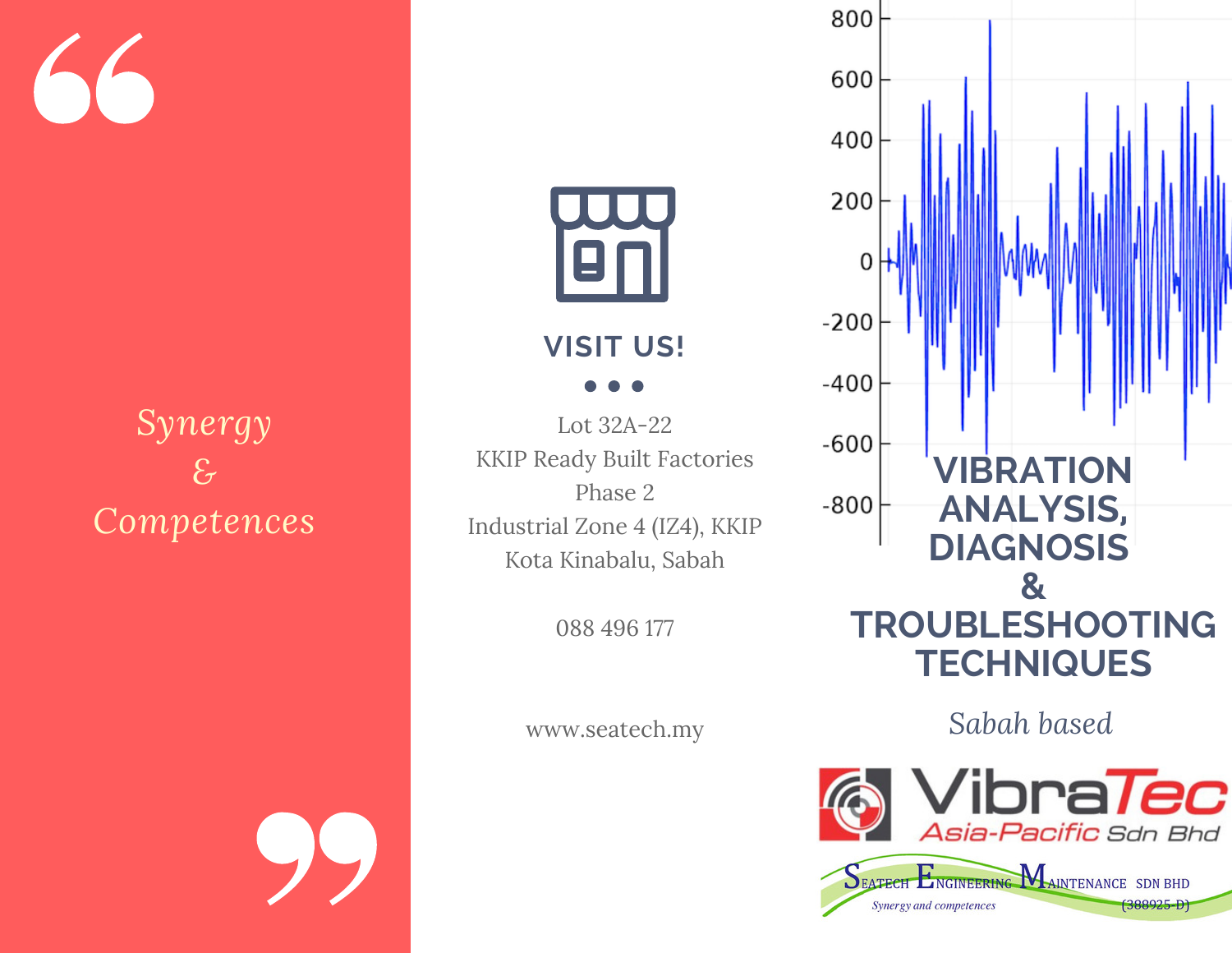# *Synergy & Competences*

## **VISIT US!**

Lot 32A-22 KKIP Ready Built Factories Phase 2 Industrial Zone 4 (IZ4), KKIP Kota Kinabalu, Sabah

088 496 177

www.seatech.my



/ibra*Tec* Asia-Pacific Sdn Bhd SEATECH ENGINEERING MAINTENANCE SDN BHD  $(388925 - D)$ Synergy and competences